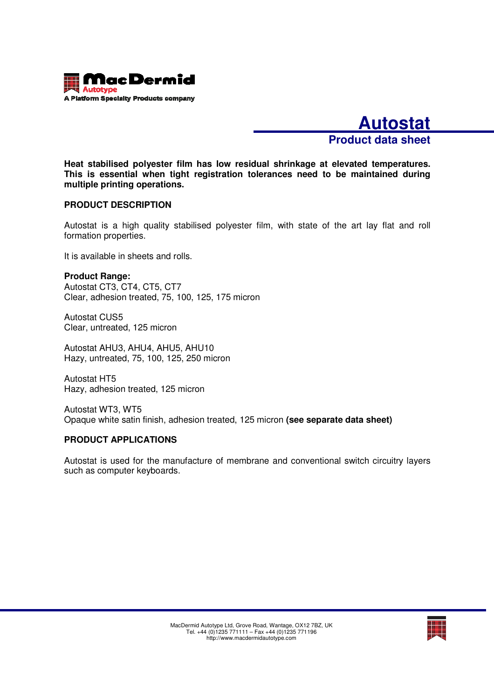

**Autostat Product data sheet**

**Heat stabilised polyester film has low residual shrinkage at elevated temperatures. This is essential when tight registration tolerances need to be maintained during multiple printing operations.** 

#### **PRODUCT DESCRIPTION**

Autostat is a high quality stabilised polyester film, with state of the art lay flat and roll formation properties.

It is available in sheets and rolls.

**Product Range:**  Autostat CT3, CT4, CT5, CT7 Clear, adhesion treated, 75, 100, 125, 175 micron

Autostat CUS5 Clear, untreated, 125 micron

Autostat AHU3, AHU4, AHU5, AHU10 Hazy, untreated, 75, 100, 125, 250 micron

Autostat HT5 Hazy, adhesion treated, 125 micron

Autostat WT3, WT5 Opaque white satin finish, adhesion treated, 125 micron **(see separate data sheet)**

#### **PRODUCT APPLICATIONS**

Autostat is used for the manufacture of membrane and conventional switch circuitry layers such as computer keyboards.

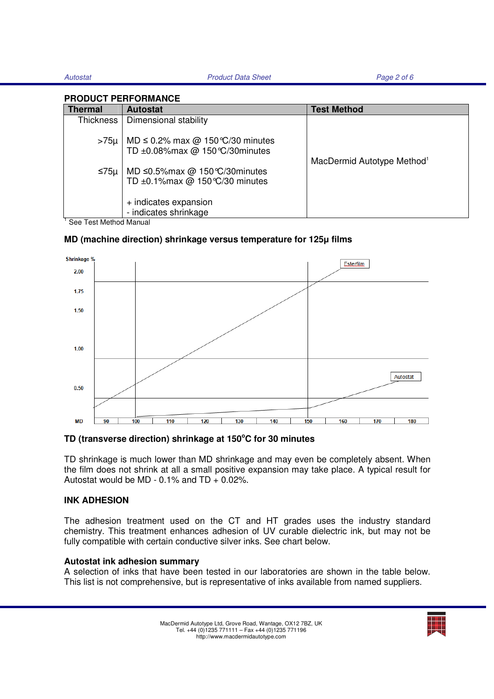Autostat **Product Data Sheet** Product Data Sheet Page 2 of 6

#### **PRODUCT PERFORMANCE**

| <b>Thermal</b>         | <b>Autostat</b>                                                                 | <b>Test Method</b>                     |
|------------------------|---------------------------------------------------------------------------------|----------------------------------------|
| Thickness              | Dimensional stability                                                           |                                        |
| $>75\mu$               | MD $\leq$ 0.2% max @ 150 °C/30 minutes<br>TD ±0.08%max @ 150 °C/30minutes       | MacDermid Autotype Method <sup>1</sup> |
| ≤75µ                   | MD $\leq$ 0.5% max @ 150 °C/30 minutes<br>TD $\pm$ 0.1% max @ 150 °C/30 minutes |                                        |
|                        | + indicates expansion<br>- indicates shrinkage                                  |                                        |
| See Test Method Manual |                                                                                 |                                        |

## **MD (machine direction) shrinkage versus temperature for 125**μ **films**



### **TD (transverse direction) shrinkage at 150<sup>o</sup>C for 30 minutes**

TD shrinkage is much lower than MD shrinkage and may even be completely absent. When the film does not shrink at all a small positive expansion may take place. A typical result for Autostat would be MD -  $0.1\%$  and TD +  $0.02\%$ .

#### **INK ADHESION**

The adhesion treatment used on the CT and HT grades uses the industry standard chemistry. This treatment enhances adhesion of UV curable dielectric ink, but may not be fully compatible with certain conductive silver inks. See chart below.

#### **Autostat ink adhesion summary**

A selection of inks that have been tested in our laboratories are shown in the table below. This list is not comprehensive, but is representative of inks available from named suppliers.

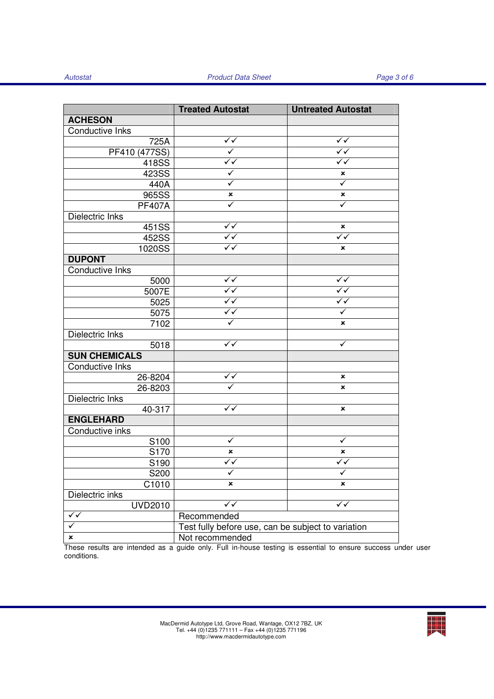|                        | <b>Treated Autostat</b>                            | <b>Untreated Autostat</b> |
|------------------------|----------------------------------------------------|---------------------------|
| <b>ACHESON</b>         |                                                    |                           |
| Conductive Inks        |                                                    |                           |
| 725A                   | ✓✓                                                 | $\checkmark$              |
| PF410 (477SS)          | $\checkmark$                                       | ✓✓                        |
| 418SS                  | $\sqrt[4]{}$                                       | $\sqrt[4]{}$              |
| 423SS                  | $\blacktriangledown$                               | ×                         |
| 440A                   | $\checkmark$                                       | $\overline{\checkmark}$   |
| 965SS                  | $\pmb{\times}$                                     | ×                         |
| <b>PF407A</b>          | $\checkmark$                                       | ✓                         |
| Dielectric Inks        |                                                    |                           |
| 451SS                  | $\checkmark$                                       | ×                         |
| 452SS                  | $\overline{\checkmark}$                            | $\sqrt{}$                 |
| 1020SS                 | $\sqrt{}$                                          | ×                         |
| <b>DUPONT</b>          |                                                    |                           |
| Conductive Inks        |                                                    |                           |
| 5000                   | ✓✓                                                 | $\checkmark$              |
| 5007E                  | $\sqrt[4]{}$                                       | $\checkmark$              |
| 5025                   | $\sqrt{\sqrt{2}}$                                  | $\checkmark$              |
| 5075                   | $\checkmark$                                       | ✓                         |
| 7102                   | $\checkmark$                                       | ×                         |
| Dielectric Inks        |                                                    |                           |
| 5018                   | $\sqrt{\checkmark}$                                | ✓                         |
| <b>SUN CHEMICALS</b>   |                                                    |                           |
| <b>Conductive Inks</b> |                                                    |                           |
| 26-8204                | $\checkmark$                                       | ×                         |
| 26-8203                |                                                    | ×                         |
| Dielectric Inks        |                                                    |                           |
| 40-317                 | $\sqrt{\checkmark}$                                | ×                         |
| <b>ENGLEHARD</b>       |                                                    |                           |
| Conductive inks        |                                                    |                           |
| S100                   | ✓                                                  | ✓                         |
| S170                   | ×                                                  | ×                         |
| S190                   | $\overline{\checkmark}$                            | $\checkmark$              |
| S200                   |                                                    |                           |
| C1010                  | ×                                                  | ×                         |
| Dielectric inks        |                                                    |                           |
| <b>UVD2010</b>         | ✓✓                                                 | $\sqrt{}$                 |
| $\checkmark$           | Recommended                                        |                           |
| ✓                      | Test fully before use, can be subject to variation |                           |
| ×                      | Not recommended                                    |                           |

These results are intended as a guide only. Full in-house testing is essential to ensure success under user conditions.

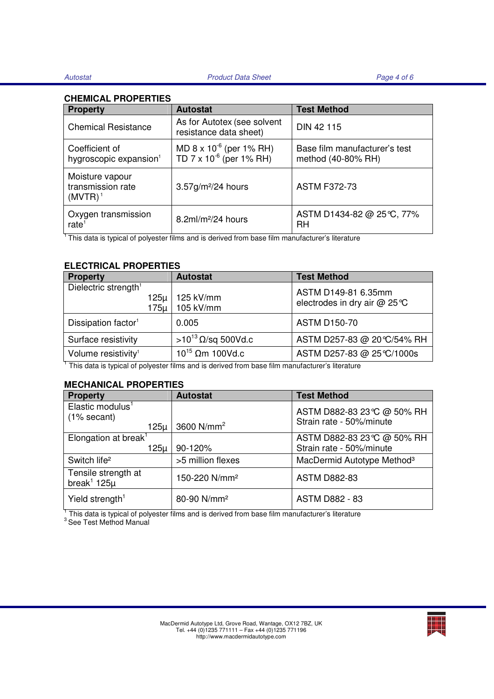#### **CHEMICAL PROPERTIES**

| <b>Property</b>                                      | <b>Autostat</b>                                                          | <b>Test Method</b>                                  |
|------------------------------------------------------|--------------------------------------------------------------------------|-----------------------------------------------------|
| <b>Chemical Resistance</b>                           | As for Autotex (see solvent<br>resistance data sheet)                    | DIN 42 115                                          |
| Coefficient of<br>hygroscopic expansion <sup>1</sup> | MD $8 \times 10^{-6}$ (per 1% RH)<br>TD 7 x 10 <sup>-6</sup> (per 1% RH) | Base film manufacturer's test<br>method (40-80% RH) |
| Moisture vapour<br>transmission rate<br>$(MVTR)^1$   | $3.57$ g/m <sup>2</sup> /24 hours                                        | <b>ASTM F372-73</b>                                 |
| Oxygen transmission<br>rate <sup>1</sup>             | $8.2$ ml/m <sup>2</sup> /24 hours                                        | ASTM D1434-82 @ 25℃, 77%<br>RH                      |

<sup>1</sup>This data is typical of polyester films and is derived from base film manufacturer's literature

#### **ELECTRICAL PROPERTIES**

| <b>Property</b>                                  | <b>Autostat</b>         | <b>Test Method</b>                                 |
|--------------------------------------------------|-------------------------|----------------------------------------------------|
| Dielectric strength <sup>1</sup><br>125µ<br>175µ | 125 kV/mm<br>105 kV/mm  | ASTM D149-81 6.35mm<br>electrodes in dry air @ 25℃ |
| Dissipation factor <sup>1</sup>                  | 0.005                   | <b>ASTM D150-70</b>                                |
| Surface resistivity                              | $>10^{13}$ Ω/sq 500Vd.c | ASTM D257-83 @ 20 °C/54% RH                        |
| Volume resistivity <sup>1</sup>                  | $10^{15}$ Ωm 100Vd.c    | ASTM D257-83 @ 25 ℃/1000s                          |

<sup>1</sup> This data is typical of polyester films and is derived from base film manufacturer's literature

#### **MECHANICAL PROPERTIES**

| <b>Property</b>                                         | <b>Autostat</b>           | <b>Test Method</b>                                    |
|---------------------------------------------------------|---------------------------|-------------------------------------------------------|
| Elastic modulus <sup>1</sup><br>(1% secant)<br>$125\mu$ | 3600 $N/mm2$              | ASTM D882-83 23℃ @ 50% RH<br>Strain rate - 50%/minute |
| Elongation at break <sup>1</sup><br>$125\mu$            | 90-120%                   | ASTM D882-83 23℃ @ 50% RH<br>Strain rate - 50%/minute |
| Switch life <sup>2</sup>                                | >5 million flexes         | MacDermid Autotype Method <sup>3</sup>                |
| Tensile strength at<br>break <sup>1</sup> 125 $\mu$     | 150-220 N/mm <sup>2</sup> | <b>ASTM D882-83</b>                                   |
| Yield strength <sup>1</sup>                             | 80-90 N/mm <sup>2</sup>   | <b>ASTM D882 - 83</b>                                 |

 $^1$  This data is typical of polyester films and is derived from base film manufacturer's literature<br> $^3$  See Test Method Manual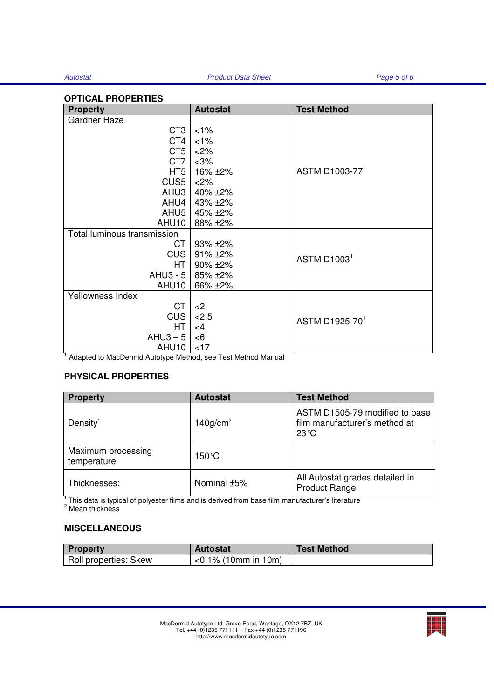#### **OPTICAL PROPERTIES**

| <b>Property</b>             | <b>Autostat</b> | <b>Test Method</b>      |  |
|-----------------------------|-----------------|-------------------------|--|
| <b>Gardner Haze</b>         |                 |                         |  |
| CT <sub>3</sub>             | $<1\%$          |                         |  |
| CT4                         | 1%              |                         |  |
| CT <sub>5</sub>             | <2%             |                         |  |
| CT7                         | $<$ 3%          |                         |  |
| HT <sub>5</sub>             | 16% ±2%         | ASTM D1003-771          |  |
| CUS <sub>5</sub>            | 2%              |                         |  |
| AHU3                        | $40\% + 2\%$    |                         |  |
| AHU4                        | 43% ±2%         |                         |  |
| AHU5                        | 45% ±2%         |                         |  |
| AHU10                       | 88% ±2%         |                         |  |
| Total luminous transmission |                 |                         |  |
| CT                          | 93% ±2%         |                         |  |
| <b>CUS</b>                  | $91\% + 2\%$    | ASTM D1003 <sup>1</sup> |  |
| HT.                         | 90% ±2%         |                         |  |
| $AHU3 - 5$                  | 85% ±2%         |                         |  |
| AHU10                       | 66% ±2%         |                         |  |
| Yellowness Index            |                 |                         |  |
| <b>CT</b>                   | $<$ 2           |                         |  |
| <b>CUS</b>                  | 2.5             | ASTM D1925-701          |  |
| HT.                         | $\leq 4$        |                         |  |
| $AHU3 - 5$                  | $<$ 6           |                         |  |
| AHU10                       | $<$ 17          |                         |  |

<sup>1</sup> Adapted to MacDermid Autotype Method, see Test Method Manual

### **PHYSICAL PROPERTIES**

| <b>Property</b>                   | <b>Autostat</b>         | <b>Test Method</b>                                                                |
|-----------------------------------|-------------------------|-----------------------------------------------------------------------------------|
| Density <sup>1</sup>              | $140$ g/cm <sup>2</sup> | ASTM D1505-79 modified to base<br>film manufacturer's method at<br>$23^{\circ}$ C |
| Maximum processing<br>temperature | 150 °C                  |                                                                                   |
| Thicknesses:                      | Nominal ±5%             | All Autostat grades detailed in<br><b>Product Range</b>                           |

 $^1$ This data is typical of polyester films and is derived from base film manufacturer's literature<br><sup>2</sup> Mean thickness

# **MISCELLANEOUS**

| Property              | <b>Autostat</b>           | <b>Test Method</b> |
|-----------------------|---------------------------|--------------------|
| Roll properties: Skew | $\sim$ 0.1% (10mm in 10m) |                    |